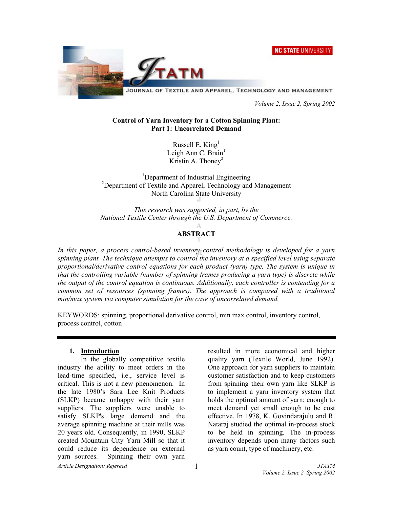**NC STATE UNIVERSITY** 



JOURNAL OF TEXTILE AND APPAREL, TECHNOLOGY AND MANAGEMENT

 *Volume 2, Issue 2, Spring 2002* 

### **Control of Yarn Inventory for a Cotton Spinning Plant: Part 1: Uncorrelated Demand**

Russell E.  $King<sup>1</sup>$ Leigh Ann C. Brain<sup>1</sup> Kristin A. Thoney<sup>2</sup>

<sup>1</sup>Department of Industrial Engineering <sup>2</sup>Department of Textile and Apparel, Technology and Management North Carolina State University

*This research was supported, in part, by the National Textile Center through the U.S. Department of Commerce.* 

# **ABSTRACT**

*In this paper, a process control-based inventory control methodology is developed for a yarn spinning plant. The technique attempts to control the inventory at a specified level using separate proportional/derivative control equations for each product (yarn) type. The system is unique in that the controlling variable (number of spinning frames producing a yarn type) is discrete while the output of the control equation is continuous. Additionally, each controller is contending for a common set of resources (spinning frames). The approach is compared with a traditional min/max system via computer simulation for the case of uncorrelated demand.*

KEYWORDS: spinning, proportional derivative control, min max control, inventory control, process control, cotton

### **1. Introduction**

 In the globally competitive textile industry the ability to meet orders in the lead-time specified, i.e., service level is critical. This is not a new phenomenon. In the late 1980's Sara Lee Knit Products (SLKP) became unhappy with their yarn suppliers. The suppliers were unable to satisfy SLKP's large demand and the average spinning machine at their mills was 20 years old. Consequently, in 1990, SLKP created Mountain City Yarn Mill so that it could reduce its dependence on external yarn sources. Spinning their own yarn

resulted in more economical and higher quality yarn (Textile World, June 1992). One approach for yarn suppliers to maintain customer satisfaction and to keep customers from spinning their own yarn like SLKP is to implement a yarn inventory system that holds the optimal amount of yarn; enough to meet demand yet small enough to be cost effective. In 1978, K. Govindarajulu and R. Nataraj studied the optimal in-process stock to be held in spinning. The in-process inventory depends upon many factors such as yarn count, type of machinery, etc.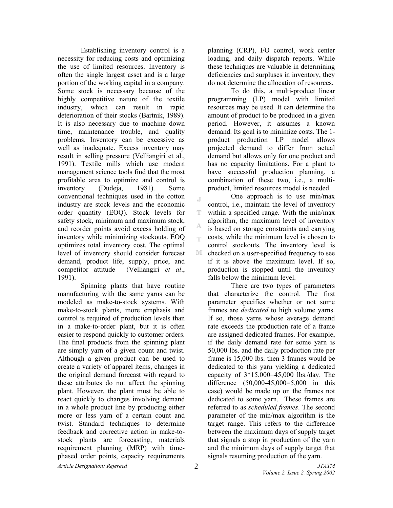Establishing inventory control is a necessity for reducing costs and optimizing the use of limited resources. Inventory is often the single largest asset and is a large portion of the working capital in a company. Some stock is necessary because of the highly competitive nature of the textile industry, which can result in rapid deterioration of their stocks (Bartnik, 1989). It is also necessary due to machine down time, maintenance trouble, and quality problems. Inventory can be excessive as well as inadequate. Excess inventory may result in selling pressure (Velliangiri et al., 1991). Textile mills which use modern management science tools find that the most profitable area to optimize and control is inventory (Dudeja, 1981). Some conventional techniques used in the cotton industry are stock levels and the economic order quantity (EOQ). Stock levels for safety stock, minimum and maximum stock, and reorder points avoid excess holding of inventory while minimizing stockouts. EOQ optimizes total inventory cost. The optimal level of inventory should consider forecast demand, product life, supply, price, and competitor attitude (Velliangiri *et al*., 1991).

 Spinning plants that have routine manufacturing with the same yarns can be modeled as make-to-stock systems. With make-to-stock plants, more emphasis and control is required of production levels than in a make-to-order plant, but it is often easier to respond quickly to customer orders. The final products from the spinning plant are simply yarn of a given count and twist. Although a given product can be used to create a variety of apparel items, changes in the original demand forecast with regard to these attributes do not affect the spinning plant. However, the plant must be able to react quickly to changes involving demand in a whole product line by producing either more or less yarn of a certain count and twist. Standard techniques to determine feedback and corrective action in make-tostock plants are forecasting, materials requirement planning (MRP) with timephased order points, capacity requirements

planning (CRP), I/O control, work center loading, and daily dispatch reports. While these techniques are valuable in determining deficiencies and surpluses in inventory, they do not determine the allocation of resources.

To do this, a multi-product linear programming (LP) model with limited resources may be used. It can determine the amount of product to be produced in a given period. However, it assumes a known demand. Its goal is to minimize costs. The 1 product production LP model allows projected demand to differ from actual demand but allows only for one product and has no capacity limitations. For a plant to have successful production planning, a combination of these two, i.e., a multiproduct, limited resources model is needed.

 One approach is to use min/max J. control, i.e., maintain the level of inventory within a specified range. With the min/max T algorithm, the maximum level of inventory is based on storage constraints and carrying costs, while the minimum level is chosen to egs. control stockouts. The inventory level is M checked on a user-specified frequency to see if it is above the maximum level. If so, production is stopped until the inventory falls below the minimum level.

There are two types of parameters that characterize the control. The first parameter specifies whether or not some frames are *dedicated* to high volume yarns. If so, those yarns whose average demand rate exceeds the production rate of a frame are assigned dedicated frames. For example, if the daily demand rate for some yarn is 50,000 lbs. and the daily production rate per frame is 15,000 lbs. then 3 frames would be dedicated to this yarn yielding a dedicated capacity of 3\*15,000=45,000 lbs./day. The difference (50,000-45,000=5,000 in this case) would be made up on the frames not dedicated to some yarn. These frames are referred to as *scheduled frames*. The second parameter of the min/max algorithm is the target range. This refers to the difference between the maximum days of supply target that signals a stop in production of the yarn and the minimum days of supply target that signals resuming production of the yarn.

A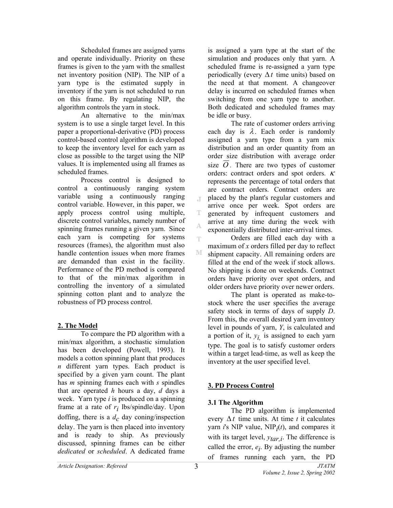Scheduled frames are assigned yarns and operate individually. Priority on these frames is given to the yarn with the smallest net inventory position (NIP). The NIP of a yarn type is the estimated supply in inventory if the yarn is not scheduled to run on this frame. By regulating NIP, the algorithm controls the yarn in stock.

 An alternative to the min/max system is to use a single target level. In this paper a proportional-derivative (PD) process control-based control algorithm is developed to keep the inventory level for each yarn as close as possible to the target using the NIP values. It is implemented using all frames as scheduled frames.

Process control is designed to control a continuously ranging system variable using a continuously ranging control variable. However, in this paper, we apply process control using multiple, discrete control variables, namely number of spinning frames running a given yarn. Since each yarn is competing for systems resources (frames), the algorithm must also handle contention issues when more frames are demanded than exist in the facility. Performance of the PD method is compared to that of the min/max algorithm in controlling the inventory of a simulated spinning cotton plant and to analyze the robustness of PD process control.

### **2. The Model**

 To compare the PD algorithm with a min/max algorithm, a stochastic simulation has been developed (Powell, 1993). It models a cotton spinning plant that produces *n* different yarn types. Each product is specified by a given yarn count. The plant has *m* spinning frames each with *s* spindles that are operated *h* hours a day, *d* days a week. Yarn type *i* is produced on a spinning frame at a rate of *ri* lbs/spindle/day. Upon doffing, there is a  $d<sub>c</sub>$  day coning/inspection delay. The yarn is then placed into inventory and is ready to ship. As previously discussed, spinning frames can be either *dedicated* or *scheduled*. A dedicated frame is assigned a yarn type at the start of the simulation and produces only that yarn. A scheduled frame is re-assigned a yarn type periodically (every ∆*t* time units) based on the need at that moment. A changeover delay is incurred on scheduled frames when switching from one yarn type to another. Both dedicated and scheduled frames may be idle or busy.

 The rate of customer orders arriving each day is  $\lambda$ . Each order is randomly assigned a yarn type from a yarn mix distribution and an order quantity from an order size distribution with average order size  $O$ . There are two types of customer orders: contract orders and spot orders.  $\kappa$ represents the percentage of total orders that are contract orders. Contract orders are placed by the plant's regular customers and arrive once per week. Spot orders are generated by infrequent customers and arrive at any time during the week with exponentially distributed inter-arrival times.

 Orders are filled each day with a maximum of *x* orders filled per day to reflect shipment capacity. All remaining orders are filled at the end of the week if stock allows. No shipping is done on weekends. Contract orders have priority over spot orders, and older orders have priority over newer orders.

 The plant is operated as make-tostock where the user specifies the average safety stock in terms of days of supply *D*. From this, the overall desired yarn inventory level in pounds of yarn, *Y*, is calculated and a portion of it,  $y_i$  is assigned to each yarn type. The goal is to satisfy customer orders within a target lead-time, as well as keep the inventory at the user specified level.

## **3. PD Process Control**

### **3.1 The Algorithm**

 The PD algorithm is implemented every ∆*t* time units. At time *t* it calculates yarn *i*'s NIP value, NIP*i*(*t*), and compares it with its target level,  $y_{tar,i}$ . The difference is called the error,  $e_i$ . By adjusting the number of frames running each yarn, the PD

 $\mathbb T$ 

T

Å Ŧ

M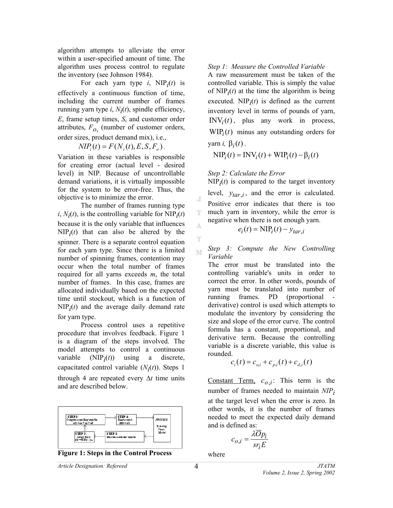algorithm attempts to alleviate the error within a user-specified amount of time. The algorithm uses process control to regulate the inventory (see Johnson 1984).

For each yarn type  $i$ , NIP $_i(t)$  is effectively a continuous function of time, including the current number of frames running yarn type  $i$ ,  $N_i(t)$ , spindle efficiency, *E*, frame setup times, *S*, and customer order attributes, *Fo*, (number of customer orders, order sizes, product demand mix), i.e.,

$$
NIP_i(t) = F(N_i(t), E, S, F_o).
$$

Variation in these variables is responsible for creating error (actual level - desired level) in NIP. Because of uncontrollable demand variations, it is virtually impossible for the system to be error-free. Thus, the objective is to minimize the error.

 The number of frames running type  $i$ ,  $N_i(t)$ , is the controlling variable for NIP<sub>*i*</sub>(*t*) because it is the only variable that influences  $NIP_i(t)$  that can also be altered by the spinner. There is a separate control equation for each yarn type. Since there is a limited number of spinning frames, contention may occur when the total number of frames required for all yarns exceeds *m*, the total number of frames. In this case, frames are allocated individually based on the expected time until stockout, which is a function of  $NIP<sub>i</sub>(t)$  and the average daily demand rate for yarn type.

 Process control uses a repetitive procedure that involves feedback. Figure 1 is a diagram of the steps involved. The model attempts to control a continuous variable (NIP*i*(*t*)) using a discrete, capacitated control variable  $(N_i(t))$ . Steps 1 through 4 are repeated every ∆*t* time units and are described below.





#### *Step 1: Measure the Controlled Variable*

A raw measurement must be taken of the controlled variable. This is simply the value of  $NIP_i(t)$  at the time the algorithm is being executed.  $NIP_i(t)$  is defined as the current inventory level in terms of pounds of yarn,  $INV_i(t)$ , plus any work in process,  $WIP_i(t)$  minus any outstanding orders for yarn *i*,  $β<sub>i</sub>(t)$ .

 $NIP_i(t) = INV_i(t) + WIP_i(t) - \beta_i(t)$ 

*Step 2: Calculate the Error* 

J Ŧ

A

Ŧ

 $NIP<sub>i</sub>(t)$  is compared to the target inventory

level,  $y_{tar,i}$ , and the error is calculated. Positive error indicates that there is too much yarn in inventory, while the error is negative when there is not enough yarn.

$$
e_i(t) = \text{NIP}_i(t) - y_{tar,i}
$$

*Step 3: Compute the New Controlling*  M *Variable* 

The error must be translated into the controlling variable's units in order to correct the error. In other words, pounds of yarn must be translated into number of running frames. PD (proportional derivative) control is used which attempts to modulate the inventory by considering the size and slope of the error curve. The control formula has a constant, proportional, and derivative term. Because the controlling variable is a discrete variable, this value is rounded.

$$
c_i(t) = c_{o,i} + c_{p,i}(t) + c_{d,i}(t)
$$

Constant Term,  $c_{0,i}$ : This term is the number of frames needed to maintain *NIPi* at the target level when the error is zero. In other words, it is the number of frames needed to meet the expected daily demand and is defined as:

$$
c_{o,i} = \frac{\lambda \overline{O} p_i}{s r_i E}
$$

where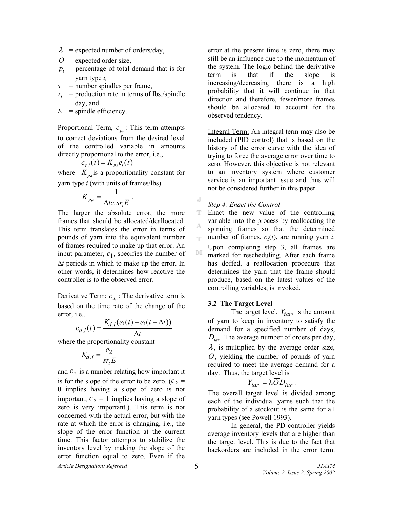- $\lambda$  = expected number of orders/day,
- $\overline{O}$  = expected order size,
- $p_i$  = percentage of total demand that is for yarn type *i,*
- *s* = number spindles per frame,
- $r_i$  = production rate in terms of lbs./spindle day, and

 $E =$ spindle efficiency.

Proportional Term,  $c_{p,i}$ . This term attempts to correct deviations from the desired level of the controlled variable in amounts directly proportional to the error, i.e.,

$$
c_{p,i}(t) = K_{p,i}e_i(t)
$$

where  $K_{pj}$  is a proportionality constant for yarn type *i* (with units of frames/lbs)

$$
K_{p,i} = \frac{1}{\Delta t c_1 s r_i E}.
$$

The larger the absolute error, the more frames that should be allocated/deallocated. This term translates the error in terms of pounds of yarn into the equivalent number of frames required to make up that error. An input parameter,  $c_1$ , specifies the number of ∆*t* periods in which to make up the error. In other words, it determines how reactive the controller is to the observed error.

Derivative Term:  $c_{d,i}$ : The derivative term is based on the time rate of the change of the error, i.e.,

$$
c_{d,i}(t) = \frac{K_{d,i}(e_i(t) - e_i(t - \Delta t))}{\Delta t}
$$

where the proportionality constant

$$
K_{d,i} = \frac{c_2}{sr_iE}
$$

and  $c_2$  is a number relating how important it is for the slope of the error to be zero. ( $c_2$  = 0 implies having a slope of zero is not important,  $c_2 = 1$  implies having a slope of zero is very important.). This term is not concerned with the actual error, but with the rate at which the error is changing, i.e., the slope of the error function at the current time. This factor attempts to stabilize the inventory level by making the slope of the error function equal to zero. Even if the error at the present time is zero, there may still be an influence due to the momentum of the system. The logic behind the derivative term is that if the slope is increasing/decreasing there is a high probability that it will continue in that direction and therefore, fewer/more frames should be allocated to account for the observed tendency.

Integral Term: An integral term may also be included (PID control) that is based on the history of the error curve with the idea of trying to force the average error over time to zero. However, this objective is not relevant to an inventory system where customer service is an important issue and thus will not be considered further in this paper.

### *Step 4: Enact the Control*

J

T Enact the new value of the controlling variable into the process by reallocating the A spinning frames so that the determined number of frames,  $c_i(t)$ , are running yarn *i*. q. Upon completing step 3, all frames are M marked for rescheduling. After each frame has doffed, a reallocation procedure that determines the yarn that the frame should produce, based on the latest values of the controlling variables, is invoked.

### **3.2 The Target Level**

The target level,  $Y_{tar}$ , is the amount of yarn to keep in inventory to satisfy the demand for a specified number of days,  $D_{tar}$ . The average number of orders per day,  $\lambda$ , is multiplied by the average order size,  $\overline{O}$ , yielding the number of pounds of yarn required to meet the average demand for a day. Thus, the target level is

$$
Y_{tar} = \lambda OD_{tar}.
$$

The overall target level is divided among each of the individual yarns such that the probability of a stockout is the same for all yarn types (see Powell 1993).

 In general, the PD controller yields average inventory levels that are higher than the target level. This is due to the fact that backorders are included in the error term.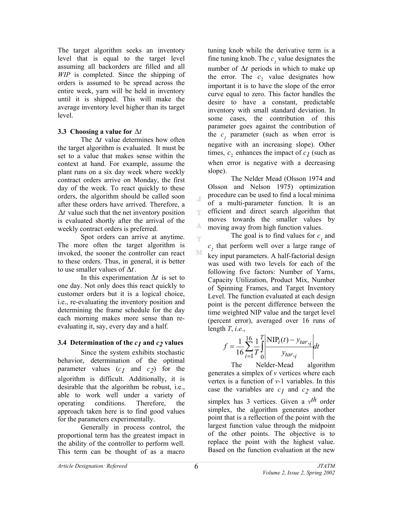The target algorithm seeks an inventory level that is equal to the target level assuming all backorders are filled and all *WIP* is completed. Since the shipping of orders is assumed to be spread across the entire week, yarn will be held in inventory until it is shipped. This will make the average inventory level higher than its target level.

### **3.3 Choosing a value for** ∆*t*

 The ∆*t* value determines how often the target algorithm is evaluated. It must be set to a value that makes sense within the context at hand. For example, assume the plant runs on a six day week where weekly contract orders arrive on Monday, the first day of the week. To react quickly to these orders, the algorithm should be called soon after these orders have arrived. Therefore, a ∆*t* value such that the net inventory position is evaluated shortly after the arrival of the weekly contract orders is preferred.

 Spot orders can arrive at anytime. The more often the target algorithm is invoked, the sooner the controller can react to these orders. Thus, in general, it is better to use smaller values of ∆*t*.

 In this experimentation ∆*t* is set to one day. Not only does this react quickly to customer orders but it is a logical choice, i.e., re-evaluating the inventory position and determining the frame schedule for the day each morning makes more sense than reevaluating it, say, every day and a half.

### **3.4 Determination of the**  $c_1$  **and**  $c_2$  **values**

Since the system exhibits stochastic behavior, determination of the optimal parameter values  $(c_1$  and  $c_2$ ) for the algorithm is difficult. Additionally, it is desirable that the algorithm be robust, i.e., able to work well under a variety of operating conditions. Therefore, the approach taken here is to find good values for the parameters experimentally.

 Generally in process control, the proportional term has the greatest impact in the ability of the controller to perform well. This term can be thought of as a macro

tuning knob while the derivative term is a fine tuning knob. The  $c<sub>j</sub>$  value designates the number of ∆*t* periods in which to make up the error. The  $c_2$  value designates how important it is to have the slope of the error curve equal to zero. This factor handles the desire to have a constant, predictable inventory with small standard deviation. In some cases, the contribution of this parameter goes against the contribution of the  $c_1$  parameter (such as when error is negative with an increasing slope). Other times,  $c_2$  enhances the impact of  $c_1$  (such as when error is negative with a decreasing slope).

 The Nelder Mead (Olsson 1974 and Olsson and Nelson 1975) optimization procedure can be used to find a local minima of a multi-parameter function. It is an efficient and direct search algorithm that moves towards the smaller values by moving away from high function values.

The goal is to find values for  $c<sub>1</sub>$  and  $c<sub>2</sub>$  that perform well over a large range of key input parameters. A half-factorial design was used with two levels for each of the following five factors: Number of Yarns, Capacity Utilization, Product Mix, Number of Spinning Frames, and Target Inventory Level. The function evaluated at each design point is the percent difference between the time weighted NIP value and the target level (percent error), averaged over 16 runs of length *T*, *i.e.*,

$$
f = \frac{1}{16} \sum_{i=1}^{16} \frac{1}{T} \int_{0}^{T} \left| \frac{\text{NIP}_i(t) - y_{tar, i}}{y_{tar, i}} \right| dt
$$

 The Nelder-Mead algorithm generates a simplex of *v* vertices where each vertex is a function of *v-*1 variables. In this case the variables are  $c_1$  and  $c_2$  and the simplex has 3 vertices. Given a *vth* order simplex, the algorithm generates another point that is a reflection of the point with the largest function value through the midpoint of the other points. The objective is to replace the point with the highest value. Based on the function evaluation at the new

 $\mathcal{A}$ 

T

А Ŧ

M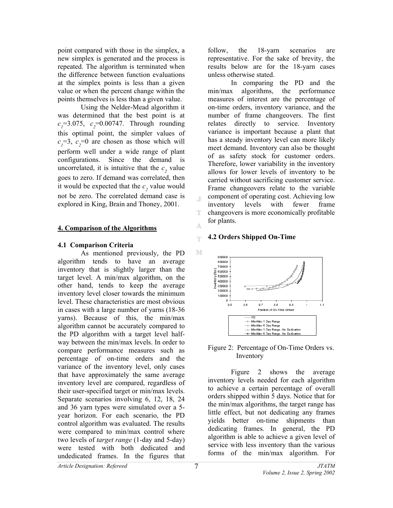point compared with those in the simplex, a new simplex is generated and the process is repeated. The algorithm is terminated when the difference between function evaluations at the simplex points is less than a given value or when the percent change within the points themselves is less than a given value.

 Using the Nelder-Mead algorithm it was determined that the best point is at  $c_1$ =3.075,  $c_2$ =0.00747. Through rounding this optimal point, the simpler values of  $c_1$ =3,  $c_2$ =0 are chosen as those which will perform well under a wide range of plant configurations. Since the demand is uncorrelated, it is intuitive that the  $c_2$  value goes to zero. If demand was correlated, then it would be expected that the  $c_2$  value would not be zero. The correlated demand case is explored in King, Brain and Thoney, 2001.

#### **4. Comparison of the Algorithms**

#### **4.1 Comparison Criteria**

 As mentioned previously, the PD algorithm tends to have an average inventory that is slightly larger than the target level. A min/max algorithm, on the other hand, tends to keep the average inventory level closer towards the minimum level. These characteristics are most obvious in cases with a large number of yarns (18-36 yarns). Because of this, the min/max algorithm cannot be accurately compared to the PD algorithm with a target level halfway between the min/max levels. In order to compare performance measures such as percentage of on-time orders and the variance of the inventory level, only cases that have approximately the same average inventory level are compared, regardless of their user-specified target or min/max levels. Separate scenarios involving 6, 12, 18, 24 and 36 yarn types were simulated over a 5 year horizon. For each scenario, the PD control algorithm was evaluated. The results were compared to min/max control where two levels of *target range* (1-day and 5-day) were tested with both dedicated and undedicated frames. In the figures that

follow, the 18-yarn scenarios are representative. For the sake of brevity, the results below are for the 18-yarn cases unless otherwise stated.

 In comparing the PD and the min/max algorithms, the performance measures of interest are the percentage of on-time orders, inventory variance, and the number of frame changeovers. The first relates directly to service. Inventory variance is important because a plant that has a steady inventory level can more likely meet demand. Inventory can also be thought of as safety stock for customer orders. Therefore, lower variability in the inventory allows for lower levels of inventory to be carried without sacrificing customer service. Frame changeovers relate to the variable component of operating cost. Achieving low inventory levels with fewer frame changeovers is more economically profitable for plants.

#### **4.2 Orders Shipped On-Time**  q.



#### Figure 2: Percentage of On-Time Orders vs. Inventory

Figure 2 shows the average inventory levels needed for each algorithm to achieve a certain percentage of overall orders shipped within 5 days. Notice that for the min/max algorithms, the target range has little effect, but not dedicating any frames yields better on-time shipments than dedicating frames. In general, the PD algorithm is able to achieve a given level of service with less inventory than the various forms of the min/max algorithm. For

J.

т

A.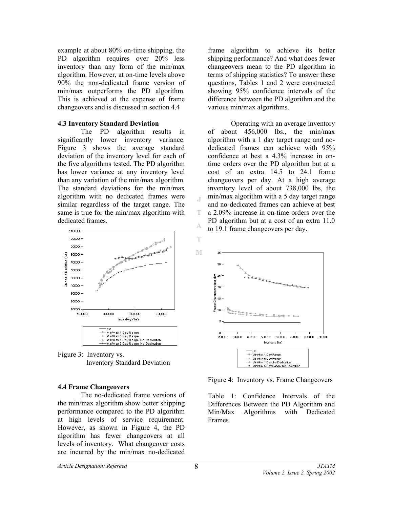example at about 80% on-time shipping, the PD algorithm requires over 20% less inventory than any form of the min/max algorithm. However, at on-time levels above 90% the non-dedicated frame version of min/max outperforms the PD algorithm. This is achieved at the expense of frame changeovers and is discussed in section 4.4

#### **4.3 Inventory Standard Deviation**

 The PD algorithm results in significantly lower inventory variance. Figure 3 shows the average standard deviation of the inventory level for each of the five algorithms tested. The PD algorithm has lower variance at any inventory level than any variation of the min/max algorithm. The standard deviations for the min/max algorithm with no dedicated frames were similar regardless of the target range. The same is true for the min/max algorithm with dedicated frames.



Figure 3: Inventory vs. Inventory Standard Deviation

#### **4.4 Frame Changeovers**

The no-dedicated frame versions of the min/max algorithm show better shipping performance compared to the PD algorithm at high levels of service requirement. However, as shown in Figure 4, the PD algorithm has fewer changeovers at all levels of inventory. What changeover costs are incurred by the min/max no-dedicated

frame algorithm to achieve its better shipping performance? And what does fewer changeovers mean to the PD algorithm in terms of shipping statistics? To answer these questions, Tables 1 and 2 were constructed showing 95% confidence intervals of the difference between the PD algorithm and the various min/max algorithms.

Operating with an average inventory of about 456,000 lbs., the min/max algorithm with a 1 day target range and nodedicated frames can achieve with 95% confidence at best a 4.3% increase in ontime orders over the PD algorithm but at a cost of an extra 14.5 to 24.1 frame changeovers per day. At a high average inventory level of about 738,000 lbs, the min/max algorithm with a 5 day target range and no-dedicated frames can achieve at best a 2.09% increase in on-time orders over the PD algorithm but at a cost of an extra 11.0 to 19.1 frame changeovers per day.



Figure 4: Inventory vs. Frame Changeovers

Table 1: Confidence Intervals of the Differences Between the PD Algorithm and Min/Max Algorithms with Dedicated Frames

 $\mathbb T$ 

Ŧ

Â

Ŧ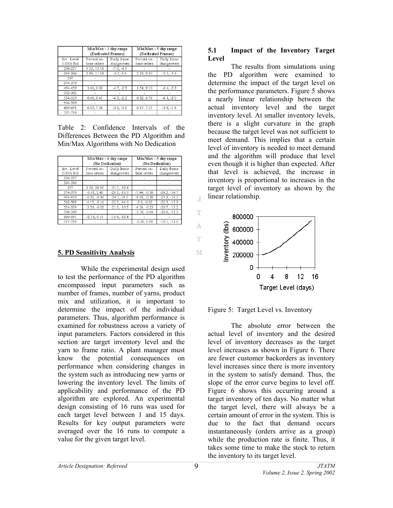|                             | Min/Max - 1 day range<br>(Dedicated Frames) |                            | Min/Max - 5 day range<br>(Dedicated Frames) |                            |
|-----------------------------|---------------------------------------------|----------------------------|---------------------------------------------|----------------------------|
| Inv. Level<br>$(1000s$ lbs) | Percent on-<br>time orders                  | Daily frame<br>changeovers | Percent on-<br>time orders                  | Daily frame<br>changeovers |
| 236-237                     | 9.53, 19.18                                 | $-7.3, -4.9$               |                                             |                            |
| 264-266                     | 2.83, 11.58                                 | $-6.2, -3.8$               | 2.18, 9.30                                  | $-5.5, -3.3$               |
| 2.97                        |                                             |                            |                                             |                            |
| 374-379                     |                                             |                            |                                             |                            |
| 454-459                     | 1.46, 9.80                                  | $-4.7, -2.3$               | 1.54, 9.10                                  | $-4.4, -2.3$               |
| 502-505                     |                                             |                            |                                             |                            |
| 554-559                     | 0.66, 8.41                                  | $-4.3, -2.2$               | 0.82, 8.78                                  | $-4.1, -2.0$               |
| 596-599                     |                                             |                            |                                             |                            |
| 689-691                     | 0.03, 7.06                                  | $-3.8, -1.8$               | 0.17, 7.15                                  | $-3.6, -1.6$               |
| 737-739                     |                                             |                            |                                             |                            |

Table 2: Confidence Intervals of the Differences Between the PD Algorithm and Min/Max Algorithms with No Dedication

|                             | Min/Max - 1 day range<br>(No Dedication) |                            | Min/Max - 5 day range<br>(No Dedication) |                            |
|-----------------------------|------------------------------------------|----------------------------|------------------------------------------|----------------------------|
| Inv. Level<br>$(1000s$ lbs) | Percent on-<br>time orders               | Daily frame<br>changeovers | Percent on-<br>time orders               | Daily frame<br>changeovers |
| 236-237                     |                                          |                            |                                          |                            |
| 264-266                     |                                          |                            |                                          |                            |
| 297                         | 8.29.34.92                               | $-31.5, -18.4$             |                                          |                            |
| 374-379                     | $-5.61, 2.40$                            | $-26.3, -15.3$             | $-7.44, -0.10$                           | $-24.2, -14.7$             |
| 454-459                     | $-4.32, -0.36$                           | $-24.1, -14.5$             | $-4.85, -0.20$                           | $-23.3, -14.5$             |
| 502-505                     | $-4.15, -0.16$                           | $-22.5, -14.0$             | $-3.9, -0.02$                            | $-22.3, -13.9$             |
| 554-559                     | $-3.59, -0.05$                           | $-21.3, -13.5$             | $-4.24, -0.23$                           | $-20.7, -13.2$             |
| 596-599                     |                                          |                            | $-3.10, -0.04$                           | $-20.6, -13.2$             |
| 689-691                     | $-2.18, 0.10$                            | $-19.4. -12.4$             |                                          |                            |
| 737-739                     |                                          |                            | $-2.09, 0.18$                            | $-19.1, -11.0$             |

#### **5. PD Sensitivity Analysis**

 While the experimental design used to test the performance of the PD algorithm encompassed input parameters such as number of frames, number of yarns, product mix and utilization, it is important to determine the impact of the individual parameters. Thus, algorithm performance is examined for robustness across a variety of input parameters. Factors considered in this section are target inventory level and the yarn to frame ratio. A plant manager must know the potential consequences on performance when considering changes in the system such as introducing new yarns or lowering the inventory level. The limits of applicability and performance of the PD algorithm are explored. An experimental design consisting of 16 runs was used for each target level between 1 and 15 days. Results for key output parameters were averaged over the 16 runs to compute a value for the given target level.

#### **5.1 Impact of the Inventory Target Level**

 The results from simulations using the PD algorithm were examined to determine the impact of the target level on the performance parameters. Figure 5 shows a nearly linear relationship between the actual inventory level and the target inventory level. At smaller inventory levels, there is a slight curvature in the graph because the target level was not sufficient to meet demand. This implies that a certain level of inventory is needed to meet demand and the algorithm will produce that level even though it is higher than expected. After that level is achieved, the increase in inventory is proportional to increases in the target level of inventory as shown by the linear relationship.





 The absolute error between the actual level of inventory and the desired level of inventory decreases as the target level increases as shown in Figure 6. There are fewer customer backorders as inventory level increases since there is more inventory in the system to satisfy demand. Thus, the slope of the error curve begins to level off. Figure 6 shows this occurring around a target inventory of ten days. No matter what the target level, there will always be a certain amount of error in the system. This is due to the fact that demand occurs instantaneously (orders arrive as a group) while the production rate is finite. Thus, it takes some time to make the stock to return the inventory to its target level.

 $\overline{A}$ 

T

A

Ŧ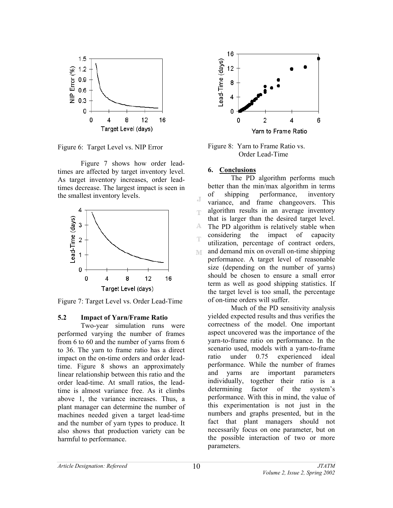

Figure 6: Target Level vs. NIP Error

 Figure 7 shows how order leadtimes are affected by target inventory level. As target inventory increases, order leadtimes decrease. The largest impact is seen in the smallest inventory levels.



Figure 7: Target Level vs. Order Lead-Time

#### **5.2 Impact of Yarn/Frame Ratio**

Two-year simulation runs were performed varying the number of frames from 6 to 60 and the number of yarns from 6 to 36. The yarn to frame ratio has a direct impact on the on-time orders and order leadtime. Figure 8 shows an approximately linear relationship between this ratio and the order lead-time. At small ratios, the leadtime is almost variance free. As it climbs above 1, the variance increases. Thus, a plant manager can determine the number of machines needed given a target lead-time and the number of yarn types to produce. It also shows that production variety can be harmful to performance.



Figure 8: Yarn to Frame Ratio vs. Order Lead-Time

#### **6. Conclusions**

q.

The PD algorithm performs much better than the min/max algorithm in terms of shipping performance, inventory  $\overline{A}$ variance, and frame changeovers. This algorithm results in an average inventory T that is larger than the desired target level. A. The PD algorithm is relatively stable when considering the impact of capacity utilization, percentage of contract orders, and demand mix on overall on-time shipping M. performance. A target level of reasonable size (depending on the number of yarns) should be chosen to ensure a small error term as well as good shipping statistics. If the target level is too small, the percentage of on-time orders will suffer.

Much of the PD sensitivity analysis yielded expected results and thus verifies the correctness of the model. One important aspect uncovered was the importance of the yarn-to-frame ratio on performance. In the scenario used, models with a yarn-to-frame ratio under 0.75 experienced ideal performance. While the number of frames and yarns are important parameters individually, together their ratio is a determining factor of the system's performance. With this in mind, the value of this experimentation is not just in the numbers and graphs presented, but in the fact that plant managers should not necessarily focus on one parameter, but on the possible interaction of two or more parameters.